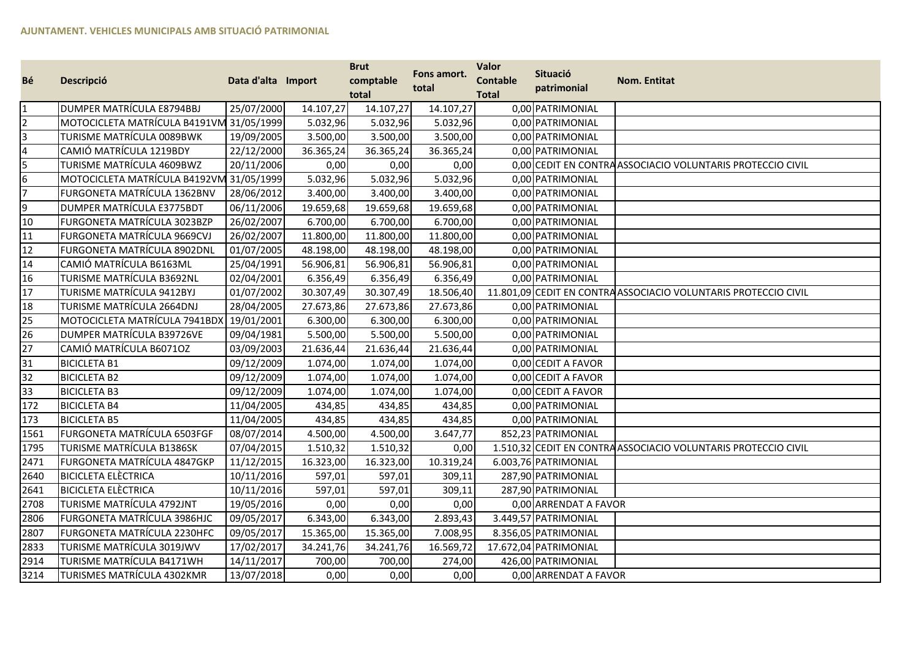| Bé             | Descripció                    | Data d'alta Import |           | <b>Brut</b><br>comptable<br>total | Fons amort.<br>total | <b>Valor</b><br><b>Contable</b><br><b>Total</b> | <b>Situació</b><br>patrimonial | <b>Nom. Entitat</b>                                             |
|----------------|-------------------------------|--------------------|-----------|-----------------------------------|----------------------|-------------------------------------------------|--------------------------------|-----------------------------------------------------------------|
|                | DUMPER MATRÍCULA E8794BBJ     | 25/07/2000         | 14.107,27 | 14.107,27                         | 14.107,27            |                                                 | 0,00 PATRIMONIAL               |                                                                 |
|                | MOTOCICLETA MATRÍCULA B4191VN | 131/05/1999        | 5.032,96  | 5.032,96                          | 5.032,96             |                                                 | 0,00 PATRIMONIAL               |                                                                 |
|                | TURISME MATRÍCULA 0089BWK     | 19/09/2005         | 3.500,00  | 3.500,00                          | 3.500,00             |                                                 | 0,00 PATRIMONIAL               |                                                                 |
| 4              | CAMIÓ MATRÍCULA 1219BDY       | 22/12/2000         | 36.365,24 | 36.365,24                         | 36.365,24            |                                                 | 0,00 PATRIMONIAL               |                                                                 |
| 5.             | TURISME MATRÍCULA 4609BWZ     | 20/11/2006         | 0,00      | 0,00                              | 0,00                 |                                                 |                                | 0,00 CEDIT EN CONTRA ASSOCIACIO VOLUNTARIS PROTECCIO CIVIL      |
| 6              | MOTOCICLETA MATRÍCULA B4192VI | 131/05/1999        | 5.032,96  | 5.032,96                          | 5.032,96             |                                                 | 0,00 PATRIMONIAL               |                                                                 |
| $\overline{7}$ | FURGONETA MATRÍCULA 1362BNV   | 28/06/2012         | 3.400,00  | 3.400,00                          | 3.400,00             |                                                 | 0,00 PATRIMONIAL               |                                                                 |
| 9              | DUMPER MATRÍCULA E3775BDT     | 06/11/2006         | 19.659,68 | 19.659,68                         | 19.659,68            |                                                 | 0,00 PATRIMONIAL               |                                                                 |
| 10             | FURGONETA MATRÍCULA 3023BZP   | 26/02/2007         | 6.700,00  | 6.700,00                          | 6.700,00             |                                                 | 0,00 PATRIMONIAL               |                                                                 |
| 11             | FURGONETA MATRÍCULA 9669CVJ   | 26/02/2007         | 11.800,00 | 11.800,00                         | 11.800,00            |                                                 | 0,00 PATRIMONIAL               |                                                                 |
| 12             | FURGONETA MATRÍCULA 8902DNL   | 01/07/2005         | 48.198,00 | 48.198,00                         | 48.198,00            |                                                 | 0,00 PATRIMONIAL               |                                                                 |
| 14             | CAMIÓ MATRÍCULA B6163ML       | 25/04/1991         | 56.906,81 | 56.906,81                         | 56.906,81            |                                                 | 0,00 PATRIMONIAL               |                                                                 |
| 16             | TURISME MATRÍCULA B3692NL     | 02/04/2001         | 6.356,49  | 6.356,49                          | 6.356,49             |                                                 | 0,00 PATRIMONIAL               |                                                                 |
| 17             | TURISME MATRÍCULA 9412BYJ     | 01/07/2002         | 30.307,49 | 30.307,49                         | 18.506,40            |                                                 |                                | 11.801,09 CEDIT EN CONTRA ASSOCIACIO VOLUNTARIS PROTECCIO CIVIL |
| 18             | TURISME MATRÍCULA 2664DNJ     | 28/04/2005         | 27.673,86 | 27.673,86                         | 27.673,86            |                                                 | 0,00 PATRIMONIAL               |                                                                 |
| 25             | MOTOCICLETA MATRÍCULA 7941BDX | 19/01/2001         | 6.300,00  | 6.300,00                          | 6.300,00             |                                                 | 0,00 PATRIMONIAL               |                                                                 |
| 26             | DUMPER MATRÍCULA B39726VE     | 09/04/1981         | 5.500,00  | 5.500,00                          | 5.500,00             |                                                 | 0,00 PATRIMONIAL               |                                                                 |
| 27             | CAMIÓ MATRÍCULA B6071OZ       | 03/09/2003         | 21.636,44 | 21.636,44                         | 21.636,44            |                                                 | 0,00 PATRIMONIAL               |                                                                 |
| 31             | <b>BICICLETA B1</b>           | 09/12/2009         | 1.074,00  | 1.074,00                          | 1.074,00             |                                                 | 0,00 CEDIT A FAVOR             |                                                                 |
| 32             | <b>BICICLETA B2</b>           | 09/12/2009         | 1.074,00  | 1.074,00                          | 1.074,00             |                                                 | 0,00 CEDIT A FAVOR             |                                                                 |
| 33             | <b>BICICLETA B3</b>           | 09/12/2009         | 1.074,00  | 1.074,00                          | 1.074,00             |                                                 | 0,00 CEDIT A FAVOR             |                                                                 |
| 172            | <b>BICICLETA B4</b>           | 11/04/2005         | 434,85    | 434,85                            | 434,85               |                                                 | 0,00 PATRIMONIAL               |                                                                 |
| 173            | <b>BICICLETA B5</b>           | 11/04/2005         | 434,85    | 434,85                            | 434,85               |                                                 | 0,00 PATRIMONIAL               |                                                                 |
| 1561           | FURGONETA MATRÍCULA 6503FGF   | 08/07/2014         | 4.500,00  | 4.500,00                          | 3.647,77             |                                                 | 852,23 PATRIMONIAL             |                                                                 |
| 1795           | TURISME MATRÍCULA B1386SK     | 07/04/2015         | 1.510,32  | 1.510,32                          | 0,00                 |                                                 |                                | 1.510,32 CEDIT EN CONTRA ASSOCIACIO VOLUNTARIS PROTECCIO CIVIL  |
| 2471           | FURGONETA MATRÍCULA 4847GKP   | 11/12/2015         | 16.323,00 | 16.323,00                         | 10.319,24            |                                                 | 6.003,76 PATRIMONIAL           |                                                                 |
| 2640           | <b>BICICLETA ELÈCTRICA</b>    | 10/11/2016         | 597,01    | 597,01                            | 309,11               |                                                 | 287,90 PATRIMONIAL             |                                                                 |
| 2641           | <b>BICICLETA ELÈCTRICA</b>    | 10/11/2016         | 597,01    | 597,01                            | 309,11               |                                                 | 287,90 PATRIMONIAL             |                                                                 |
| 2708           | TURISME MATRÍCULA 4792JNT     | 19/05/2016         | 0,00      | 0,00                              | 0,00                 |                                                 | 0,00 ARRENDAT A FAVOR          |                                                                 |
| 2806           | FURGONETA MATRÍCULA 3986HJC   | 09/05/2017         | 6.343,00  | 6.343,00                          | 2.893,43             |                                                 | 3.449,57 PATRIMONIAL           |                                                                 |
| 2807           | FURGONETA MATRÍCULA 2230HFC   | 09/05/2017         | 15.365,00 | 15.365,00                         | 7.008,95             |                                                 | 8.356,05 PATRIMONIAL           |                                                                 |
| 2833           | TURISME MATRÍCULA 3019JWV     | 17/02/2017         | 34.241,76 | 34.241,76                         | 16.569,72            |                                                 | 17.672,04 PATRIMONIAL          |                                                                 |
| 2914           | TURISME MATRÍCULA B4171WH     | 14/11/2017         | 700,00    | 700,00                            | 274,00               |                                                 | 426,00 PATRIMONIAL             |                                                                 |
| 3214           | TURISMES MATRÍCULA 4302KMR    | 13/07/2018         | 0,00      | 0,00                              | 0,00                 |                                                 | 0,00 ARRENDAT A FAVOR          |                                                                 |